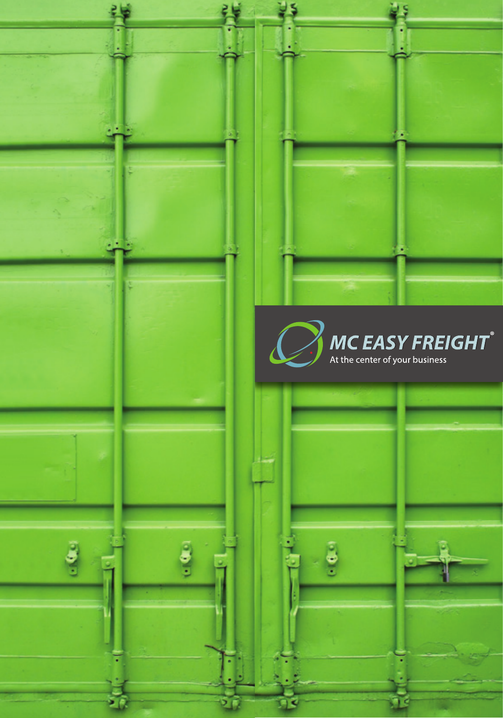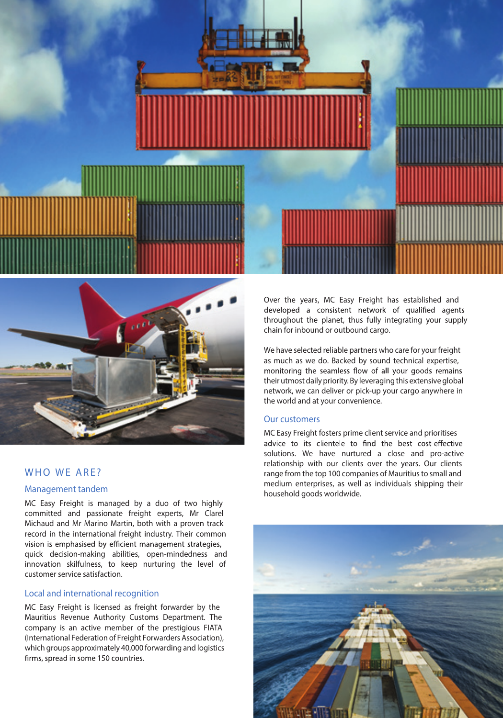



# WHO WE ARE?

## Management tandem

MC Easy Freight is managed by a duo of two highly committed and passionate freight experts, Mr Clarel Michaud and Mr Marino Martin, both with a proven track record in the international freight industry. Their common vision is emphasised by efficient management strategies, quick decision-making abilities, open-mindedness and innovation skilfulness, to keep nurturing the level of customer service satisfaction.

## Local and international recognition

MC Easy Freight is licensed as freight forwarder by the Mauritius Revenue Authority Customs Department. The company is an active member of the prestigious FIATA (International Federation of Freight Forwarders Association), which groups approximately 40,000 forwarding and logistics firms, spread in some 150 countries.

Over the years, MC Easy Freight has established and developed a consistent network of qualified agents throughout the planet, thus fully integrating your supply chain for inbound or outbound cargo.

We have selected reliable partners who care for your freight as much as we do. Backed by sound technical expertise, monitoring the seamless flow of all your goods remains their utmost daily priority. By leveraging this extensive global network, we can deliver or pick-up your cargo anywhere in the world and at your convenience.

#### Our customers

MC Easy Freight fosters prime client service and prioritises advice to its clientele to find the best cost-effective solutions. We have nurtured a close and pro-active relationship with our clients over the years. Our clients range from the top 100 companies of Mauritius to small and medium enterprises, as well as individuals shipping their household goods worldwide.

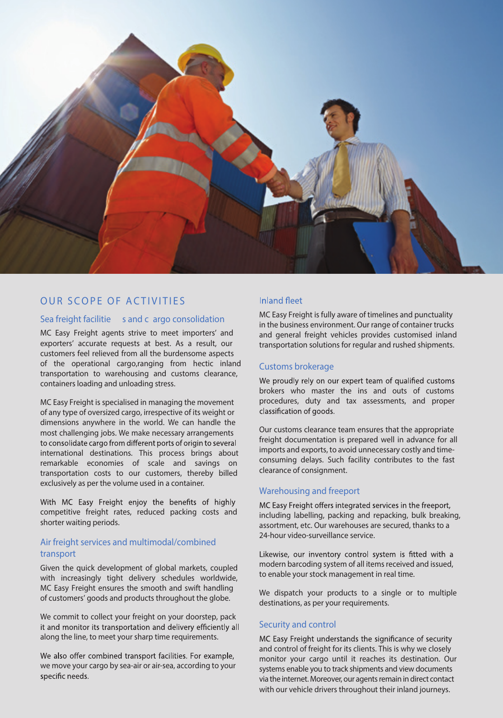

## OUR SCOPE OF ACTIVITIES

## Sea freight facilitie s and c argo consolidation

MC Easy Freight agents strive to meet importers' and exporters' accurate requests at best. As a result, our customers feel relieved from all the burdensome aspects of the operational cargo,ranging from hectic inland transportation to warehousing and customs clearance, containers loading and unloading stress.

MC Easy Freight is specialised in managing the movement of any type of oversized cargo, irrespective of its weight or dimensions anywhere in the world. We can handle the most challenging jobs. We make necessary arrangements to consolidate cargo from different ports of origin to several international destinations. This process brings about remarkable economies of scale and savings on transportation costs to our customers, thereby billed exclusively as per the volume used in a container.

With MC Easy Freight enjoy the benefits of highly competitive freight rates, reduced packing costs and shorter waiting periods.

### Air freight services and multimodal/combined transport

Given the quick development of global markets, coupled with increasingly tight delivery schedules worldwide, MC Easy Freight ensures the smooth and swift handling of customers' goods and products throughout the globe.

We commit to collect your freight on your doorstep, pack it and monitor its transportation and delivery efficiently all along the line, to meet your sharp time requirements.

We also offer combined transport facilities. For example, we move your cargo by sea-air or air-sea, according to your specific needs.

#### **Inland fleet**

MC Easy Freight is fully aware of timelines and punctuality in the business environment. Our range of container trucks and general freight vehicles provides customised inland transportation solutions for regular and rushed shipments.

#### Customs brokerage

We proudly rely on our expert team of qualified customs brokers who master the ins and outs of customs procedures, duty and tax assessments, and proper classification of goods.

Our customs clearance team ensures that the appropriate freight documentation is prepared well in advance for all imports and exports, to avoid unnecessary costly and timeconsuming delays. Such facility contributes to the fast clearance of consignment.

## Warehousing and freeport

MC Easy Freight offers integrated services in the freeport. including labelling, packing and repacking, bulk breaking, assortment, etc. Our warehouses are secured, thanks to a 24-hour video-surveillance service.

Likewise, our inventory control system is fitted with a modern barcoding system of all items received and issued, to enable your stock management in real time.

We dispatch your products to a single or to multiple destinations, as per your requirements.

#### Security and control

MC Easy Freight understands the significance of security and control of freight for its clients. This is why we closely monitor your cargo until it reaches its destination. Our systems enable you to track shipments and view documents via the internet. Moreover, our agents remain in direct contact with our vehicle drivers throughout their inland journeys.